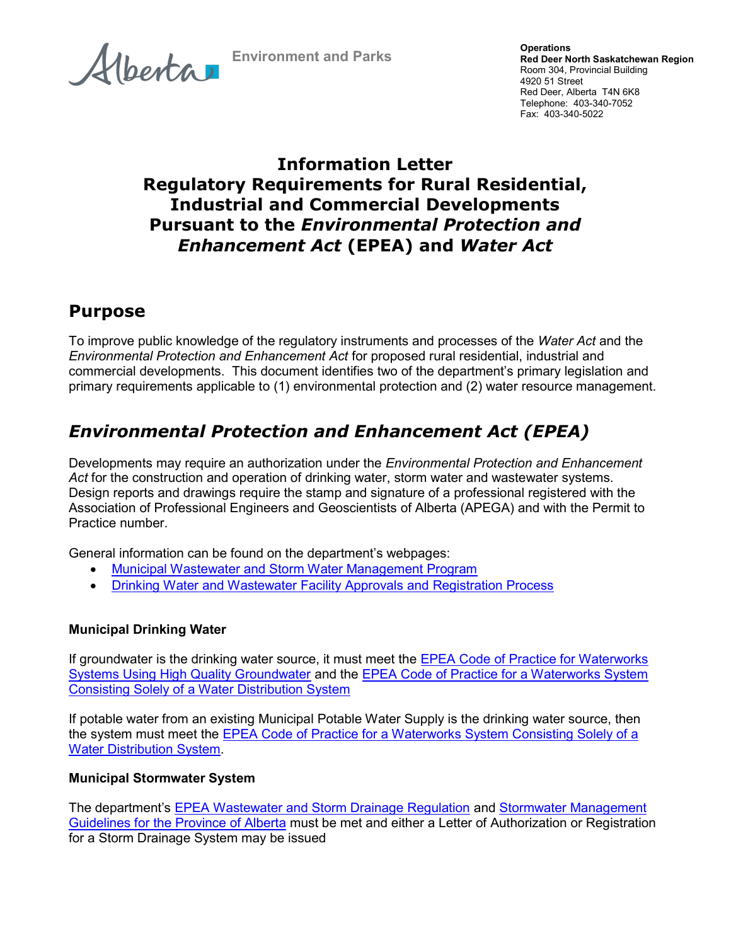Alberta

Environment and Parks

### Information Letter Regulatory Requirements for Rural Residential, Industrial and Commercial Developments Pursuant to the Environmental Protection and Enhancement Act (EPEA) and Water Act

## Purpose

To improve public knowledge of the regulatory instruments and processes of the Water Act and the Environmental Protection and Enhancement Act for proposed rural residential, industrial and commercial developments. This document identifies two of the department's primary legislation and primary requirements applicable to (1) environmental protection and (2) water resource management.

# Environmental Protection and Enhancement Act (EPEA)

Developments may require an authorization under the *Environmental Protection and Enhancement* Act for the construction and operation of drinking water, storm water and wastewater systems. Design reports and drawings require the stamp and signature of a professional registered with the Association of Professional Engineers and Geoscientists of Alberta (APEGA) and with the Permit to Practice number.

General information can be found on the department's webpages:

- Municipal Wastewater and Storm Water Management Program
- Drinking Water and Wastewater Facility Approvals and Registration Process

#### Municipal Drinking Water

If groundwater is the drinking water source, it must meet the EPEA Code of Practice for Waterworks Systems Using High Quality Groundwater and the EPEA Code of Practice for a Waterworks System Consisting Solely of a Water Distribution System

If potable water from an existing Municipal Potable Water Supply is the drinking water source, then the system must meet the EPEA Code of Practice for a Waterworks System Consisting Solely of a Water Distribution System.

#### Municipal Stormwater System

The department's EPEA Wastewater and Storm Drainage Regulation and Stormwater Management Guidelines for the Province of Alberta must be met and either a Letter of Authorization or Registration for a Storm Drainage System may be issued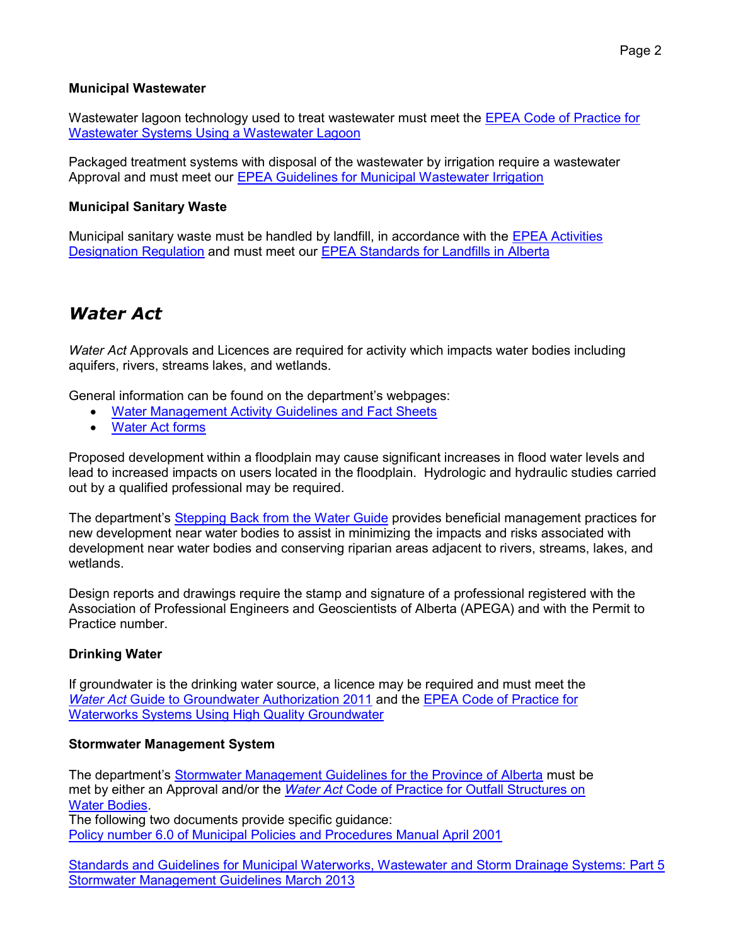#### Municipal Wastewater

Wastewater lagoon technology used to treat wastewater must meet the **EPEA Code of Practice for** Wastewater Systems Using a Wastewater Lagoon

Packaged treatment systems with disposal of the wastewater by irrigation require a wastewater Approval and must meet our EPEA Guidelines for Municipal Wastewater Irrigation

#### Municipal Sanitary Waste

Municipal sanitary waste must be handled by landfill, in accordance with the EPEA Activities Designation Regulation and must meet our EPEA Standards for Landfills in Alberta

### Water Act

Water Act Approvals and Licences are required for activity which impacts water bodies including aquifers, rivers, streams lakes, and wetlands.

General information can be found on the department's webpages:

- Water Management Activity Guidelines and Fact Sheets
- Water Act forms

Proposed development within a floodplain may cause significant increases in flood water levels and lead to increased impacts on users located in the floodplain. Hydrologic and hydraulic studies carried out by a qualified professional may be required.

The department's Stepping Back from the Water Guide provides beneficial management practices for new development near water bodies to assist in minimizing the impacts and risks associated with development near water bodies and conserving riparian areas adjacent to rivers, streams, lakes, and wetlands.

Design reports and drawings require the stamp and signature of a professional registered with the Association of Professional Engineers and Geoscientists of Alberta (APEGA) and with the Permit to Practice number.

#### Drinking Water

If groundwater is the drinking water source, a licence may be required and must meet the Water Act Guide to Groundwater Authorization 2011 and the EPEA Code of Practice for Waterworks Systems Using High Quality Groundwater

#### Stormwater Management System

The department's Stormwater Management Guidelines for the Province of Alberta must be met by either an Approval and/or the Water Act Code of Practice for Outfall Structures on Water Bodies.

The following two documents provide specific guidance: Policy number 6.0 of Municipal Policies and Procedures Manual April 2001

Standards and Guidelines for Municipal Waterworks, Wastewater and Storm Drainage Systems: Part 5 Stormwater Management Guidelines March 2013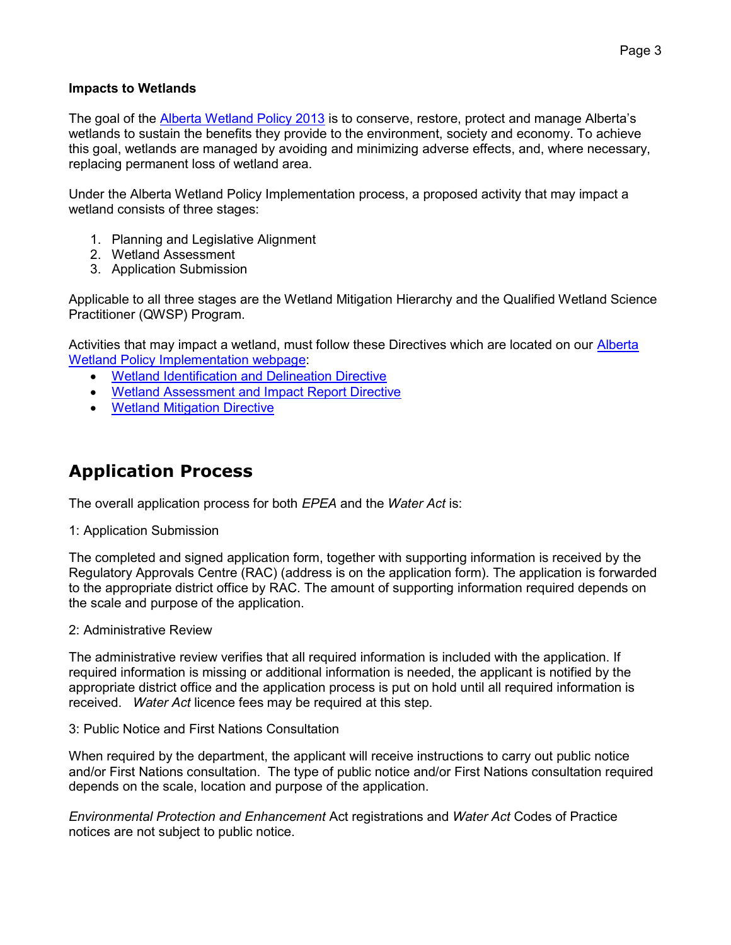#### Impacts to Wetlands

The goal of the Alberta Wetland Policy 2013 is to conserve, restore, protect and manage Alberta's wetlands to sustain the benefits they provide to the environment, society and economy. To achieve this goal, wetlands are managed by avoiding and minimizing adverse effects, and, where necessary, replacing permanent loss of wetland area.

Under the Alberta Wetland Policy Implementation process, a proposed activity that may impact a wetland consists of three stages:

- 1. Planning and Legislative Alignment
- 2. Wetland Assessment
- 3. Application Submission

Applicable to all three stages are the Wetland Mitigation Hierarchy and the Qualified Wetland Science Practitioner (QWSP) Program.

Activities that may impact a wetland, must follow these Directives which are located on our Alberta Wetland Policy Implementation webpage:

- Wetland Identification and Delineation Directive
- Wetland Assessment and Impact Report Directive
- Wetland Mitigation Directive

## Application Process

The overall application process for both EPEA and the Water Act is:

1: Application Submission

The completed and signed application form, together with supporting information is received by the Regulatory Approvals Centre (RAC) (address is on the application form). The application is forwarded to the appropriate district office by RAC. The amount of supporting information required depends on the scale and purpose of the application.

2: Administrative Review

The administrative review verifies that all required information is included with the application. If required information is missing or additional information is needed, the applicant is notified by the appropriate district office and the application process is put on hold until all required information is received. Water Act licence fees may be required at this step.

#### 3: Public Notice and First Nations Consultation

When required by the department, the applicant will receive instructions to carry out public notice and/or First Nations consultation. The type of public notice and/or First Nations consultation required depends on the scale, location and purpose of the application.

Environmental Protection and Enhancement Act registrations and Water Act Codes of Practice notices are not subject to public notice.